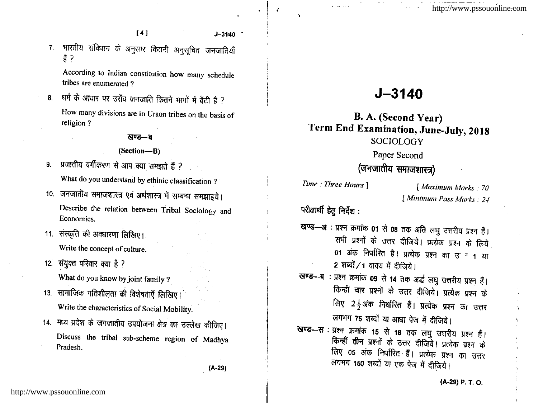$[4]$ 

भारतीय संविधान के अनुसार कितनी अनुसूचित जनजातियाँ  $7.$ 훍 ?

According to Indian constitution how many schedule tribes are enumerated?

8. धर्म के आधार पर उराँव जनजाति कितने भागों में बँटी है ? How many divisions are in Uraon tribes on the basis of religion?

#### खण्ड—ब

### (Section-B)

- प्रजातीय वर्गीकरण से आप क्या समझते हैं ? 9.
	- What do you understand by ethinic classification?
- 10. जनजातीय समाजशास्त्र एवं अर्थशास्त्र में सम्बन्ध समझाइये। Describe the relation between Tribal Sociology and Economics.
- 11. संस्कृति की अवधारणा लिखिए। Write the concept of culture.
- 12. संयुक्त परिवार क्या है ?

What do you know by joint family ?

- 13. सामाजिक गतिशीलता की विशेषताएँ लिखिए। Write the characteristics of Social Mobility.
- 14. मध्य प्रदेश के जनजातीय उपयोजना क्षेत्र का उल्लेख कीजिए। Discuss the tribal sub-scheme region of Madhya Pradesh.

# $J - 3140$

# **B. A.** (Second Year) Term End Examination, June-July, 2018 **SOCIOLOGY**

## Paper Second

# (जनजातीय समाजशास्त्र)

Time : Three Hours ]

[Maximum Marks: 70 [Minimum Pass Marks: 24

परीक्षार्थी हेतु निर्देश :

- खण्ड-अः प्रश्न क्रमांक 01 से 08 तक अति लघु उत्तरीय प्रश्न हैं। सभी प्रश्नों के उत्तर दीजिये। प्रत्येक प्रश्न के लिये 01 अंक निर्धारित है। प्रत्येक प्रश्न का उन्न था 2 शब्दों / 1 वाक्य में दीजिये।
- खण्ड-ब : प्रश्न क्रमांक 09 से 14 तक अर्द्ध लघु उत्तरीय प्रश्न हैं। किन्हीं चार प्रश्नों के उत्तर दीजिये। प्रत्येक प्रश्न के लिए 2<sup>1</sup> अंक निर्धारित हैं। प्रत्येक प्रश्न का उत्तर लगभग 75 शब्दों या आधा पेज में दीजिये।
- खण्ड-सः प्रश्न क्रमांक 15 से 18 तक लघु उत्तरीय प्रश्न हैं। किन्हीं **तीन** प्रश्नों के उत्तर दीजिये। प्रत्येक प्रश्न के लिए 05 अंक निर्धारित हैं। प्रत्येक प्रश्न का उत्तर लगभग 150 शब्दों या एक पेज में दीज़िये।

 $(A-29)$ 

 $J - 3140$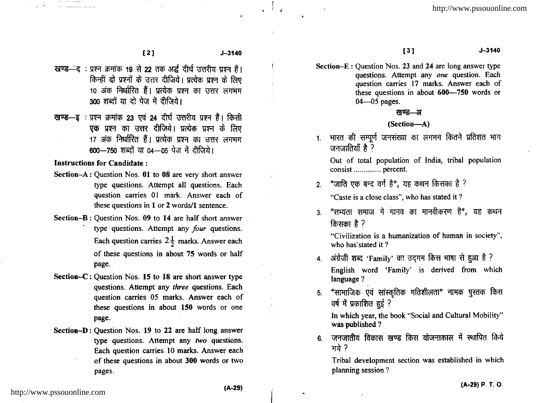- खण्ड-ंद: प्रश्न क्रमांक 19 से 22 तक अर्द्ध दीर्घ उत्तरीय प्रश्न हैं। किन्हीं दो प्रश्नों के उत्तर दीजिये। प्रत्येक प्रश्न के लिए 10 अंक निर्धारित हैं। प्रत्येक प्रश्न का उत्तर लगभग 300 शब्दों या दो पेज में दीजिये।
- खण्ड—इ: प्रश्न क्रमांक 23 एवं 24 दीर्घ उत्तरीय प्रश्न हैं। किसी एक प्रश्न का उत्तर दीजिये। प्रत्येक प्रश्न के लिए 17 अंक निर्धारित हैं। प्रत्येक प्रश्न का उत्तर लगभग 600-750 शब्दों या 04-05 पेज में दीजिये।

Instructions for Candidate :

- Section- $A:$  Question Nos. 01 to 08 are very short answer type questions. Attempt all questions. Each question carries 01 mark. Answer each of these questions in  $1$  or  $2$  words/ $1$  sentence.
- Section-B: Question Nos. 09 to 14 are half short answer<br>type questions. Attempt any *four* questions. Each question carries  $2\frac{1}{2}$  marks. Answer each of these questions in about 75 words or half page.
- Section- $C:$  Question Nos. 15 to 18 are short answer type questions. Attempt any three questions. Each question carries 05 marks. Answer each of these questions in about 150 words or one page.
- Section-D: Question Nos. 19 to 22 are half long answer type questions. Attempt any two questions. Each question carries l0 marks. Answer each of these questions in about 300 words or two pages

 $1^3$  J-3140

Section-E: Question Nos. 23 and 24 are long answer type questions. Attempt any one question. Each question carries i7 marks. Answer each of these questions in about 600-750 words or  $04 - 05$  pages.

#### खण्ड—अ

### (Section-A)

1. भारत की सम्पूर्ण जनसंख्या का लगभग कितने प्रतिशत भाग जनजातियाँ है ?

Out of total population of India, tribal population consist .............. percent.

- 2. "जाति एक बन्द वर्ग है", यह कथन किसका है ? "Caste is a close class", who has stated it ?
- 3. "सभ्यता समाज में मानव का मानवीकरण है", यह कथन  ${\rm d} \sigma$   ${\rm d} \sigma$   ${\rm d} \sigma$   ${\rm d} \sigma$   ${\rm d} \sigma$

"Civilization is a humanization of human in society". who has'stated it ?

- 4. अंग्रेजी शब्द 'Family' का उदगम किस भाषा से हुआ है ? English word 'Family' is derived from which language ?
- 5. "सामाजिक एवं सांस्कृतिक गतिशीलता" नामक पुस्तक किस ार्ष में प्रकाशित हुई ?

In which year, the book "Social and Cultural Mobility" was published ?

 $6$  जनजातीय विकास खण्ड किस योजनाकाल में स्थापित किये गये ?

Tribal development section was established in which planning session ?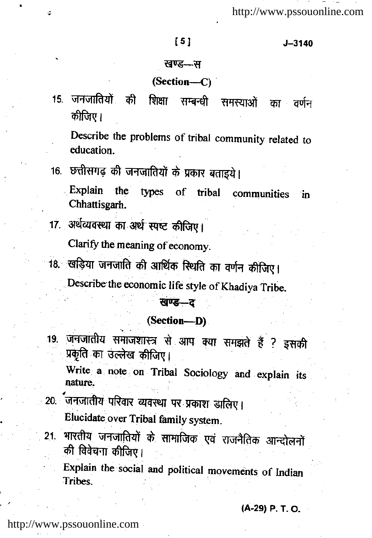$J - 3140$ 

#### खण्ड—स

#### (Section--C)

15. जनजातियों की शिक्षा सम्बन्धी समस्याओं का वर्णन कीजिए।

Describe the problems of tribal community related to education.

16. छत्तीसगढ़ की जनजातियों के प्रकार बताइये।

Explain the types of tribal communities in. Chhattisgarh.

17. अर्थव्यवस्था का अर्थ स्पष्ट कीजिए।

ž.

Clarify the meaning of economy.

18. खड़िया जनजाति की आर्थिक स्थिति का वर्णन कीजिए।

Describe the economic life style of Khadiya Tribe.

## खण्ड-द

(Section-D)

19. जनजातीय समाजशास्त्र से आप क्या समझते हैं ? इसकी प्रकृति का उल्लेख कीजिए।

Write a note on Tribal Sociology and explain its nature.

- 20. जनजातीय परिवार व्यवस्था पर प्रकाश डालिए। Elucidate over Tribal family system.
- भारतीय जनजातियों के सामाजिक एवं राजनैतिक आन्दोलनों  $21<sub>1</sub>$ की विवेचना कीजिए।

Explain the social and political movements of Indian Tribes.

(A-29) P. T. O.

http://www.pssouonline.com